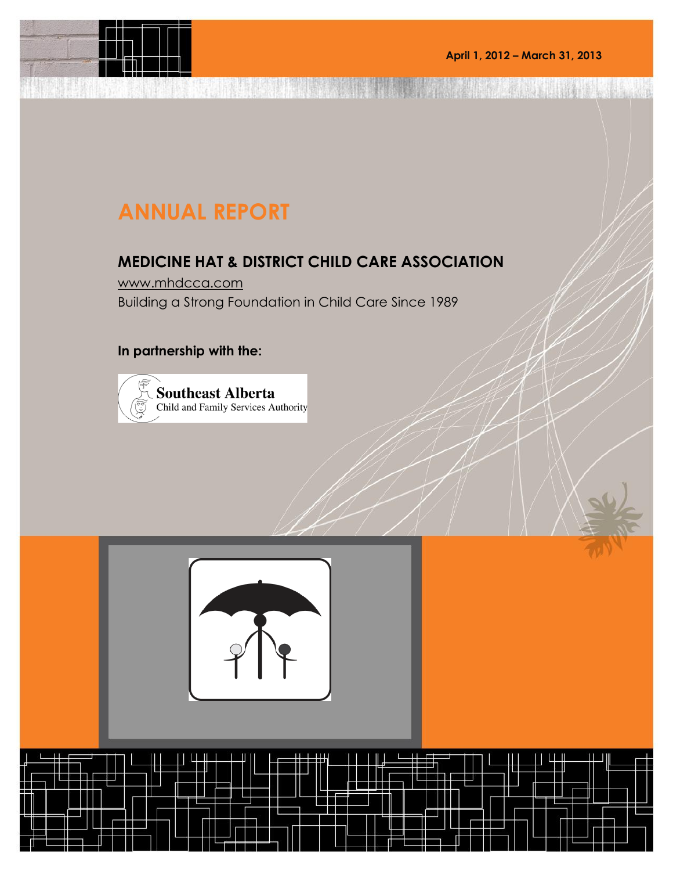The contract of the contract of the contract of

# **ANNUAL REPORT**

**HASSER** 

### **MEDICINE HAT & DISTRICT CHILD CARE ASSOCIATION**

[www.mhdcca.com](http://www.mhdcca.com/) Building a Strong Foundation in Child Care Since 1989

#### **In partnership with the:**



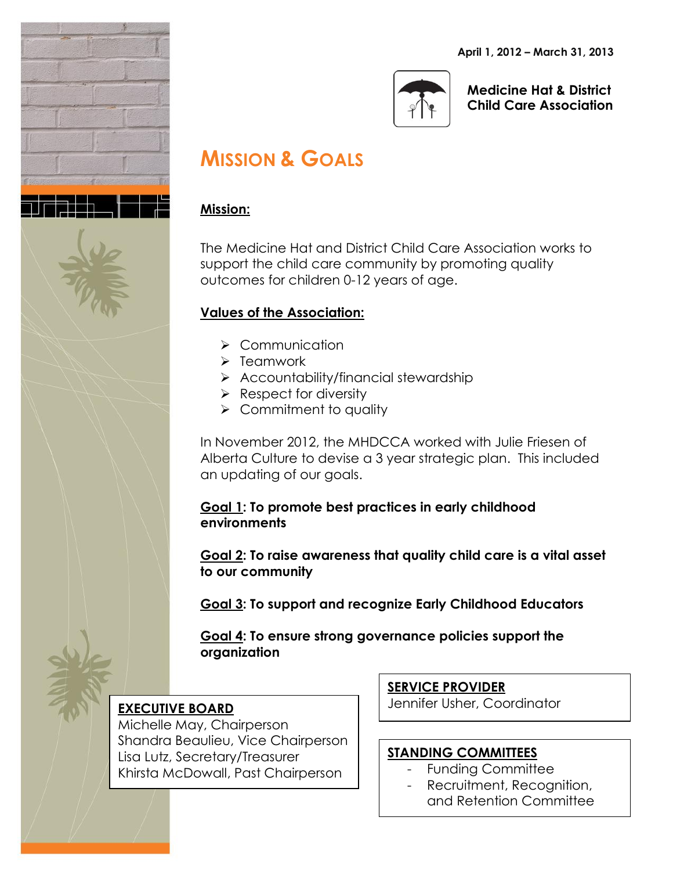**April 1, 2012 – March 31, 2013**





**Medicine Hat & District Child Care Association**

## **MISSION & GOALS**

#### **Mission:**

The Medicine Hat and District Child Care Association works to support the child care community by promoting quality outcomes for children 0-12 years of age.

#### **Values of the Association:**

- > Communication
- $\triangleright$  Teamwork
- $\triangleright$  Accountability/financial stewardship
- $\triangleright$  Respect for diversity
- $\triangleright$  Commitment to quality

In November 2012, the MHDCCA worked with Julie Friesen of Alberta Culture to devise a 3 year strategic plan. This included an updating of our goals.

**Goal 1: To promote best practices in early childhood environments**

**Goal 2: To raise awareness that quality child care is a vital asset to our community**

**Goal 3: To support and recognize Early Childhood Educators**

**Goal 4: To ensure strong governance policies support the organization**

### **EXECUTIVE BOARD**

Michelle May, Chairperson Shandra Beaulieu, Vice Chairperson Lisa Lutz, Secretary/Treasurer Khirsta McDowall, Past Chairperson

**SERVICE PROVIDER**

Jennifer Usher, Coordinator

#### **STANDING COMMITTEES**

- Funding Committee
- Recruitment, Recognition, and Retention Committee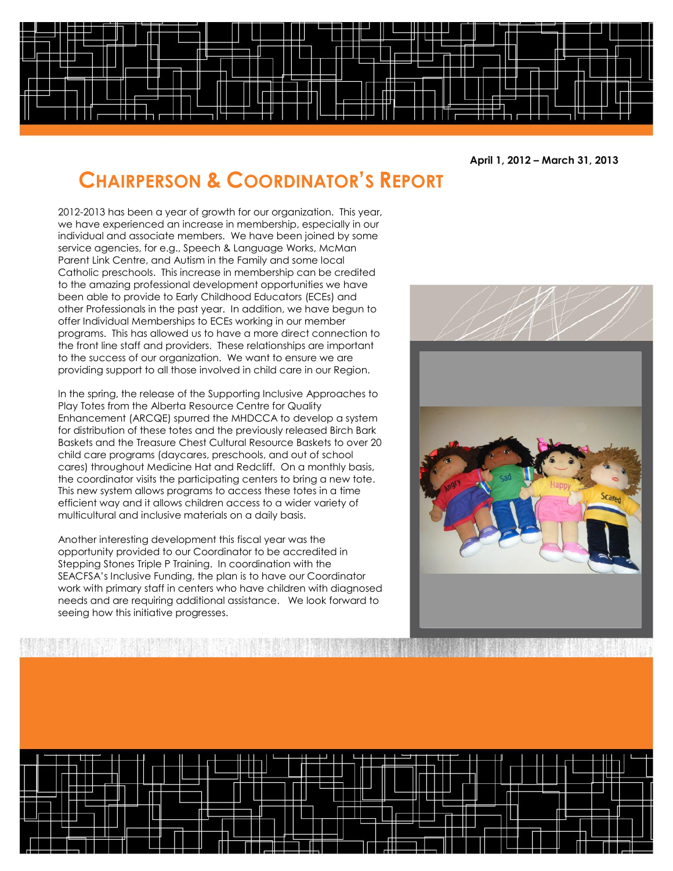

**April 1, 2012 – March 31, 2013**

## **CHAIRPERSON & COORDINATOR'S REPORT**

2012-2013 has been a year of growth for our organization. This year, we have experienced an increase in membership, especially in our individual and associate members. We have been joined by some service agencies, for e.g., Speech & Language Works, McMan Parent Link Centre, and Autism in the Family and some local Catholic preschools. This increase in membership can be credited to the amazing professional development opportunities we have been able to provide to Early Childhood Educators (ECEs) and other Professionals in the past year. In addition, we have begun to offer Individual Memberships to ECEs working in our member programs. This has allowed us to have a more direct connection to the front line staff and providers. These relationships are important to the success of our organization. We want to ensure we are providing support to all those involved in child care in our Region.

In the spring, the release of the Supporting Inclusive Approaches to Play Totes from the Alberta Resource Centre for Quality Enhancement (ARCQE) spurred the MHDCCA to develop a system for distribution of these totes and the previously released Birch Bark Baskets and the Treasure Chest Cultural Resource Baskets to over 20 child care programs (daycares, preschools, and out of school cares) throughout Medicine Hat and Redcliff. On a monthly basis, the coordinator visits the participating centers to bring a new tote. This new system allows programs to access these totes in a time efficient way and it allows children access to a wider variety of multicultural and inclusive materials on a daily basis.

Another interesting development this fiscal year was the opportunity provided to our Coordinator to be accredited in Stepping Stones Triple P Training. In coordination with the SEACFSA's Inclusive Funding, the plan is to have our Coordinator work with primary staff in centers who have children with diagnosed needs and are requiring additional assistance. We look forward to seeing how this initiative progresses.

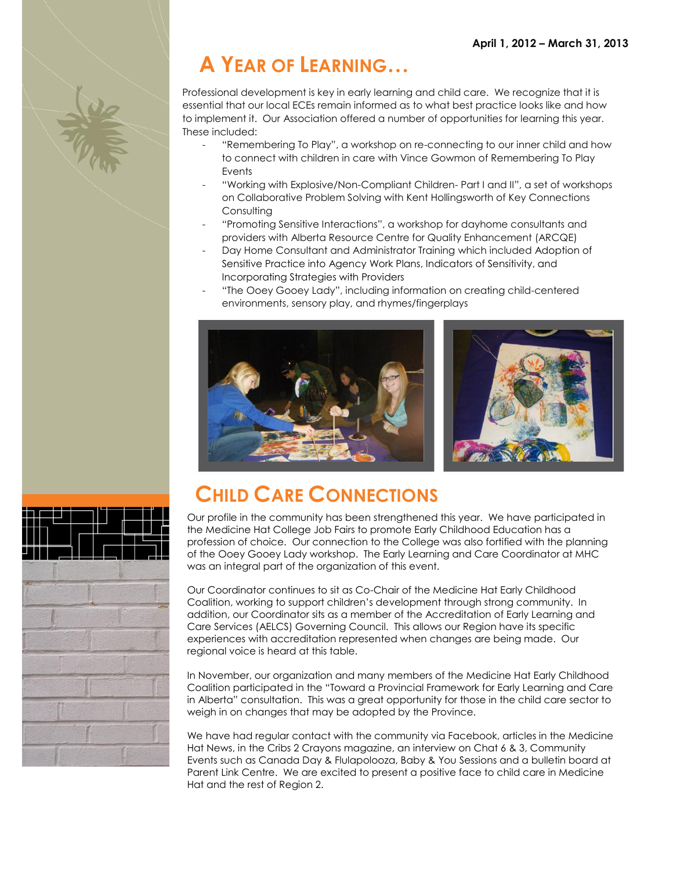# **A YEAR OF LEARNING…**

Professional development is key in early learning and child care. We recognize that it is essential that our local ECEs remain informed as to what best practice looks like and how to implement it. Our Association offered a number of opportunities for learning this year. These included:

- "Remembering To Play", a workshop on re-connecting to our inner child and how to connect with children in care with Vince Gowmon of Remembering To Play **Events**
- "Working with Explosive/Non-Compliant Children- Part I and II", a set of workshops on Collaborative Problem Solving with Kent Hollingsworth of Key Connections **Consulting**
- "Promoting Sensitive Interactions", a workshop for dayhome consultants and providers with Alberta Resource Centre for Quality Enhancement (ARCQE)
- Day Home Consultant and Administrator Training which included Adoption of Sensitive Practice into Agency Work Plans, Indicators of Sensitivity, and Incorporating Strategies with Providers
	- "The Ooey Gooey Lady", including information on creating child-centered environments, sensory play, and rhymes/fingerplays







## **CHILD CARE CONNECTIONS**

Our profile in the community has been strengthened this year. We have participated in the Medicine Hat College Job Fairs to promote Early Childhood Education has a profession of choice. Our connection to the College was also fortified with the planning of the Ooey Gooey Lady workshop. The Early Learning and Care Coordinator at MHC was an integral part of the organization of this event.

Our Coordinator continues to sit as Co-Chair of the Medicine Hat Early Childhood Coalition, working to support children's development through strong community. In addition, our Coordinator sits as a member of the Accreditation of Early Learning and Care Services (AELCS) Governing Council. This allows our Region have its specific experiences with accreditation represented when changes are being made. Our regional voice is heard at this table.

In November, our organization and many members of the Medicine Hat Early Childhood Coalition participated in the "Toward a Provincial Framework for Early Learning and Care in Alberta" consultation. This was a great opportunity for those in the child care sector to weigh in on changes that may be adopted by the Province.

We have had regular contact with the community via Facebook, articles in the Medicine Hat News, in the Cribs 2 Crayons magazine, an interview on Chat 6 & 3, Community Events such as Canada Day & Flulapolooza, Baby & You Sessions and a bulletin board at Parent Link Centre. We are excited to present a positive face to child care in Medicine Hat and the rest of Region 2.